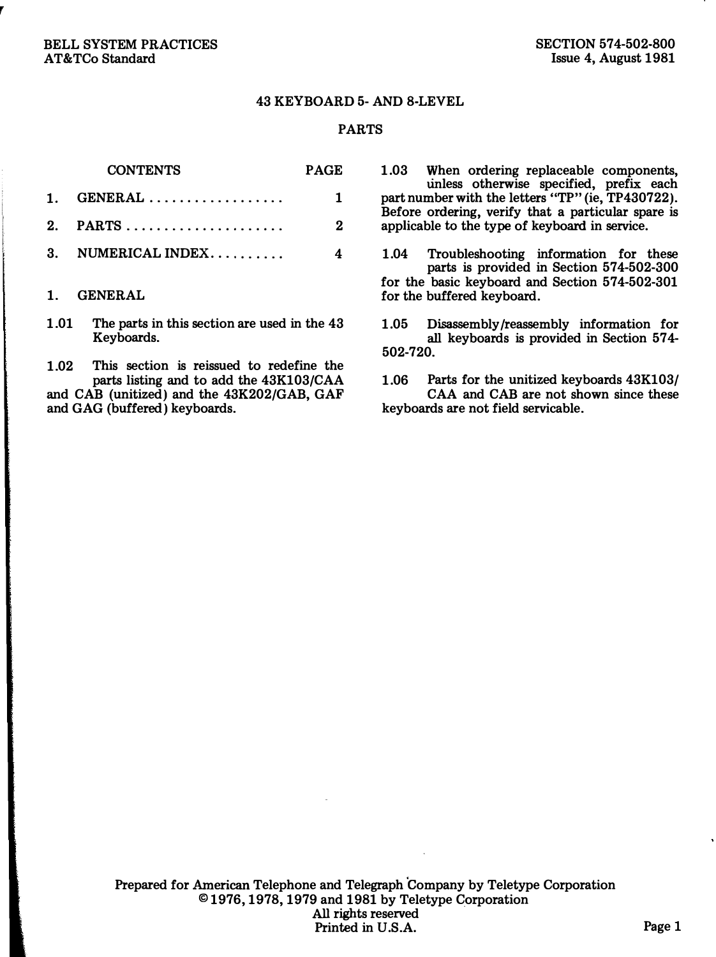#### 43 KEYBOARD 5-AND 8-LEVEL

#### PARTS

PAGE

| <b>CONTENTS</b> |  |
|-----------------|--|
|-----------------|--|

| $1.$ GENERAL |  |
|--------------|--|
|              |  |

- 3. NUMERICAL INDEX..........  $4$
- 1. GENERAL
- 1.01 The parts in this section are used in the 43 Keyboards.

1.02 This section is reissued to redefine the parts listing and to add the 43Kl03/CAA and CAB (unitized) and the 43K 202/GAB, GAF and GAG (buffered) keyboards.

1.03 When ordering replaceable components, unless otherwise specified, prefix each part number with the letters "TP" (ie, TP430722). Before ordering, verify that a particular spare is applicable to the type of keyboard in service.

1.04 Troubleshooting information for these parts is provided in Section 574-502-300 for the basic keyboard and Section 574-502-301 for the buffered keyboard.

1.05 Disassembly /reassembly information for all keyboards is provided in Section 57 4- 502-720.

1.06 Parts for the unitized keyboards 43Kl03/ CAA and CAB are not shown since these keyboards are not field servicable.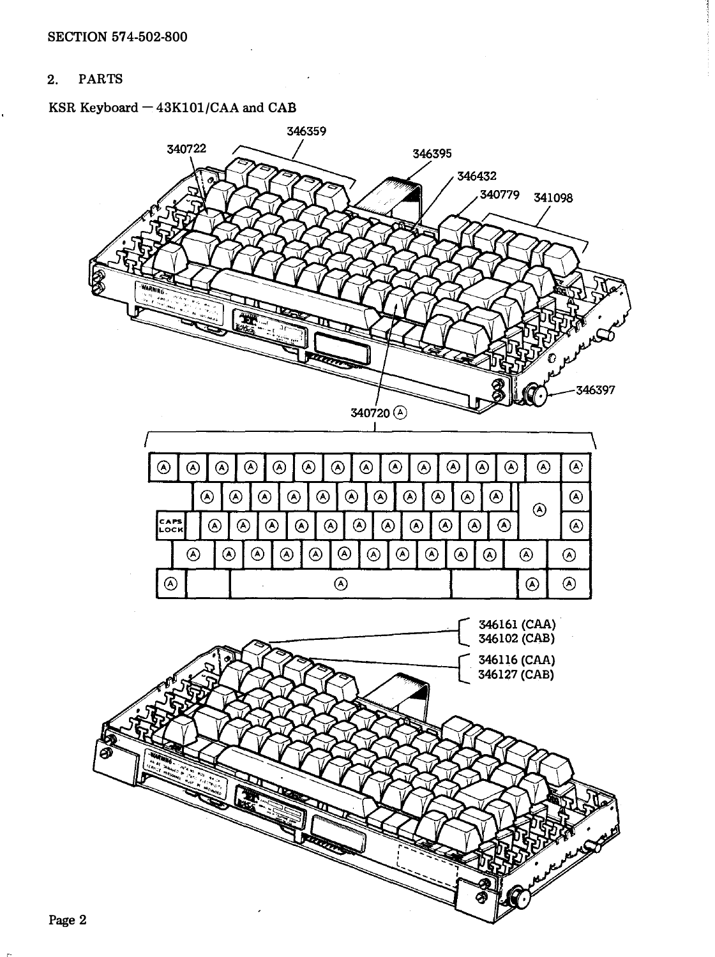### 2. PARTS

# KSR Keyboard  $-$  43K101/CAA and CAB



346359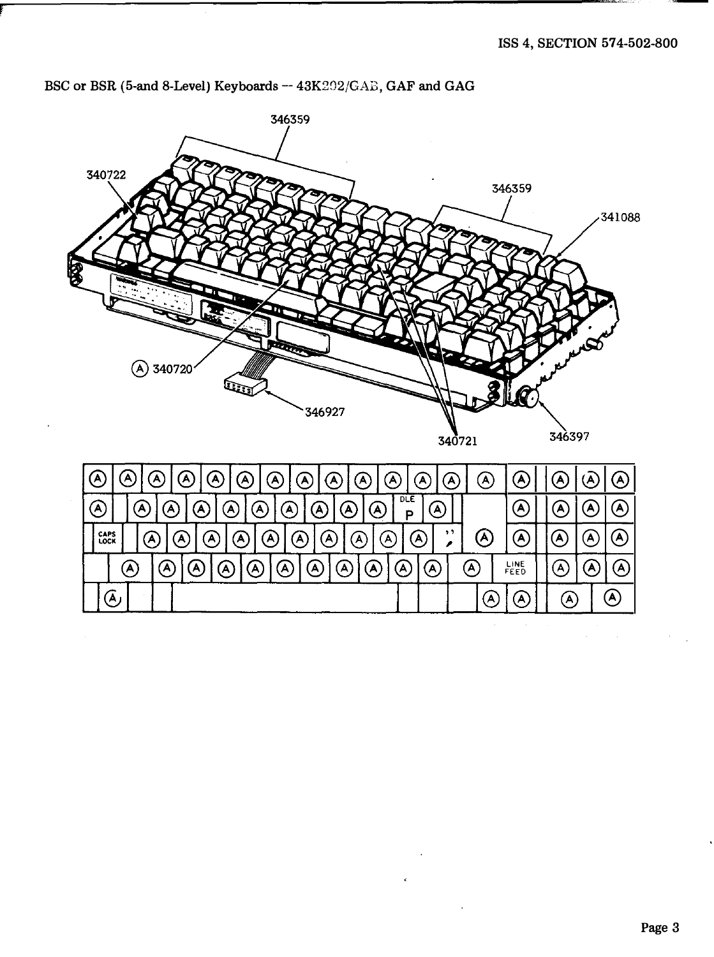

BSC or BSR (5-and 8-Level) Keyboards --  $43K202/GAB$ , GAF and GAG